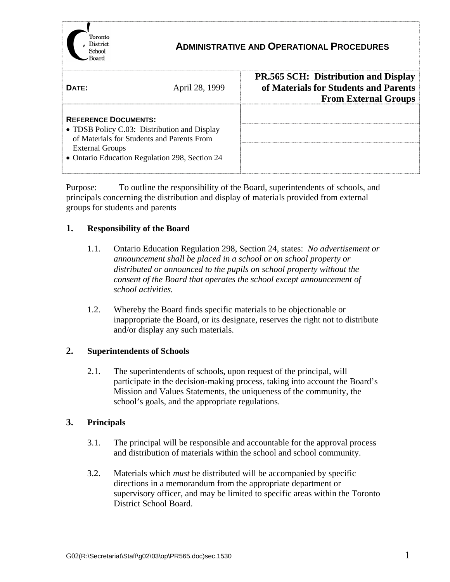

## **ADMINISTRATIVE AND OPERATIONAL PROCEDURES**

| DATE:                                                                                                                                                                                                 | April 28, 1999 | <b>PR.565 SCH: Distribution and Display</b><br>of Materials for Students and Parents<br><b>From External Groups</b> |
|-------------------------------------------------------------------------------------------------------------------------------------------------------------------------------------------------------|----------------|---------------------------------------------------------------------------------------------------------------------|
| <b>REFERENCE DOCUMENTS:</b><br>• TDSB Policy C.03: Distribution and Display<br>of Materials for Students and Parents From<br><b>External Groups</b><br>• Ontario Education Regulation 298, Section 24 |                |                                                                                                                     |

Purpose: To outline the responsibility of the Board, superintendents of schools, and principals concerning the distribution and display of materials provided from external groups for students and parents

## **1. Responsibility of the Board**

- 1.1. Ontario Education Regulation 298, Section 24, states: *No advertisement or announcement shall be placed in a school or on school property or distributed or announced to the pupils on school property without the consent of the Board that operates the school except announcement of school activities.*
- 1.2. Whereby the Board finds specific materials to be objectionable or inappropriate the Board, or its designate, reserves the right not to distribute and/or display any such materials.

## **2. Superintendents of Schools**

2.1. The superintendents of schools, upon request of the principal, will participate in the decision-making process, taking into account the Board's Mission and Values Statements, the uniqueness of the community, the school's goals, and the appropriate regulations.

## **3. Principals**

- 3.1. The principal will be responsible and accountable for the approval process and distribution of materials within the school and school community.
- 3.2. Materials which *must* be distributed will be accompanied by specific directions in a memorandum from the appropriate department or supervisory officer, and may be limited to specific areas within the Toronto District School Board.